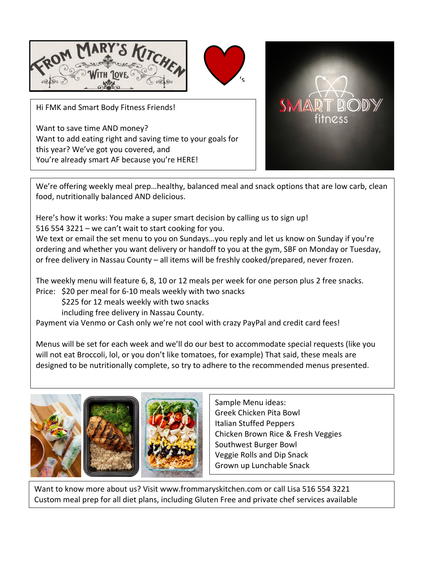

Hi FMK and Smart Body Fitness Friends!

Want to save time AND money? Want to add eating right and saving time to your goals for this year? We've got you covered, and You're already smart AF because you're HERE!



We're offering weekly meal prep…healthy, balanced meal and snack options that are low carb, clean food, nutritionally balanced AND delicious.

Here's how it works: You make a super smart decision by calling us to sign up!

516 554 3221 – we can't wait to start cooking for you.

We text or email the set menu to you on Sundays...you reply and let us know on Sunday if you're ordering and whether you want delivery or handoff to you at the gym, SBF on Monday or Tuesday, or free delivery in Nassau County – all items will be freshly cooked/prepared, never frozen.

The weekly menu will feature 6, 8, 10 or 12 meals per week for one person plus 2 free snacks. Price: \$20 per meal for 6-10 meals weekly with two snacks

\$225 for 12 meals weekly with two snacks

including free delivery in Nassau County.

Payment via Venmo or Cash only we're not cool with crazy PayPal and credit card fees!

Menus will be set for each week and we'll do our best to accommodate special requests (like you will not eat Broccoli, lol, or you don't like tomatoes, for example) That said, these meals are designed to be nutritionally complete, so try to adhere to the recommended menus presented.



Sample Menu ideas: Greek Chicken Pita Bowl Italian Stuffed Peppers Chicken Brown Rice & Fresh Veggies Southwest Burger Bowl Veggie Rolls and Dip Snack Grown up Lunchable Snack

Want to know more about us? Visit www.frommaryskitchen.com or call Lisa 516 554 3221 Custom meal prep for all diet plans, including Gluten Free and private chef services available